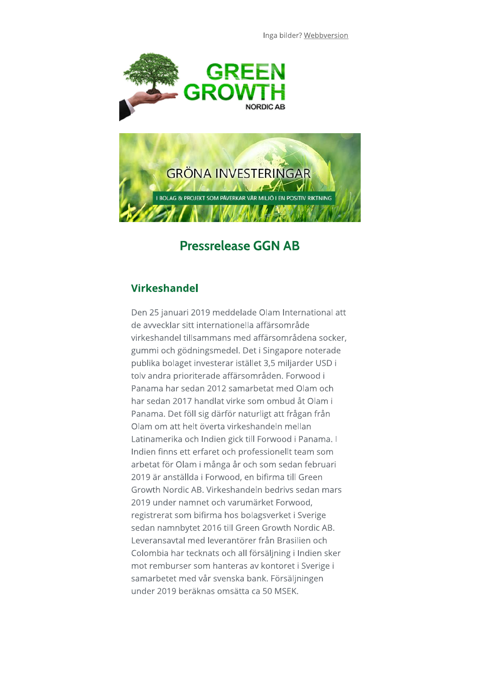



## **Pressrelease GGN AB**

## **Virkeshandel**

Den 25 januari 2019 meddelade Olam International att de avvecklar sitt internationella affärsområde virkeshandel tillsammans med affärsområdena socker, gummi och gödningsmedel. Det i Singapore noterade publika bolaget investerar istället 3,5 miljarder USD i tolv andra prioriterade affärsområden. Forwood i Panama har sedan 2012 samarbetat med Olam och har sedan 2017 handlat virke som ombud åt Olam i Panama. Det föll sig därför naturligt att frågan från Olam om att helt överta virkeshandeln mellan Latinamerika och Indien gick till Forwood i Panama. I Indien finns ett erfaret och professionellt team som arbetat för Olam i många år och som sedan februari 2019 är anställda i Forwood, en bifirma till Green Growth Nordic AB, Virkeshandeln bedrivs sedan mars 2019 under namnet och varumärket Forwood, registrerat som bifirma hos bolagsverket i Sverige sedan namnbytet 2016 till Green Growth Nordic AB. Leveransaytal med leverantörer från Brasilien och Colombia har tecknats och all försäljning i Indien sker mot remburser som hanteras av kontoret i Sverige i samarbetet med vår svenska bank. Försäljningen under 2019 beräknas omsätta ca 50 MSEK.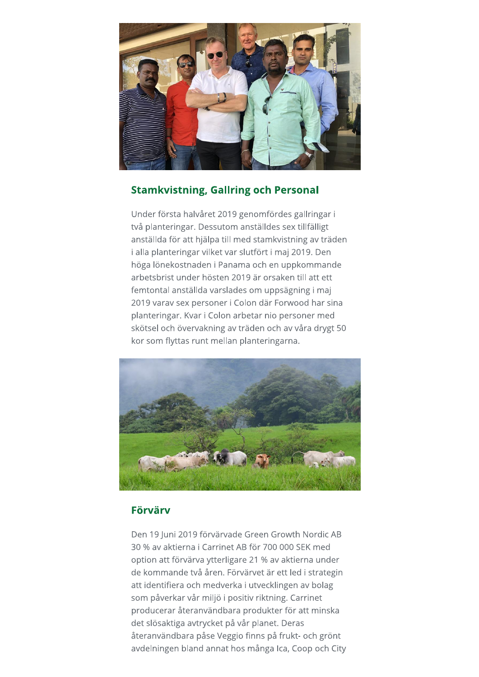

## **Stamkvistning, Gallring och Personal**

Under första halvåret 2019 genomfördes gallringar i två planteringar. Dessutom anställdes sex tillfälligt anställda för att hjälpa till med stamkvistning av träden i alla planteringar vilket var slutfört i maj 2019. Den höga lönekostnaden i Panama och en uppkommande arbetsbrist under hösten 2019 är orsaken till att ett femtontal anställda varslades om uppsägning i maj 2019 varav sex personer i Colon där Forwood har sina planteringar. Kvar i Colon arbetar nio personer med skötsel och övervakning av träden och av våra drygt 50 kor som flyttas runt mellan planteringarna.



## Förvärv

Den 19 Iuni 2019 förvärvade Green Growth Nordic AB 30 % av aktierna i Carrinet AB för 700 000 SEK med option att förvärva ytterligare 21 % av aktierna under de kommande två åren. Förvärvet är ett led i strategin att identifiera och medverka i utvecklingen av bolag som påverkar vår miljö i positiv riktning. Carrinet producerar återanvändbara produkter för att minska det slösaktiga avtrycket på vår planet. Deras återanvändbara påse Veggio finns på frukt- och grönt avdelningen bland annat hos många Ica, Coop och City